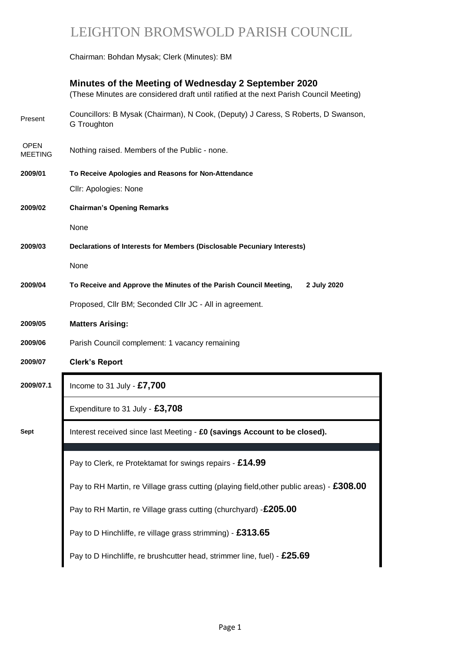# LEIGHTON BROMSWOLD PARISH COUNCIL

Chairman: Bohdan Mysak; Clerk (Minutes): BM

# **Minutes of the Meeting of Wednesday 2 September 2020**  (These Minutes are considered draft until ratified at the next Parish Council Meeting) Present Councillors: B Mysak (Chairman), N Cook, (Deputy) J Caress, S Roberts, D Swanson, G Troughton OPEN MEETING Nothing raised. Members of the Public - none. **2009/01 To Receive Apologies and Reasons for Non-Attendance** Cllr: Apologies: None **2009/02 Chairman's Opening Remarks** None **2009/03 Declarations of Interests for Members (Disclosable Pecuniary Interests)** None **2009/04 To Receive and Approve the Minutes of the Parish Council Meeting, 2 July 2020** Proposed, Cllr BM; Seconded Cllr JC - All in agreement. **2009/05 Matters Arising: 2009/06** Parish Council complement: 1 vacancy remaining **2009/07 Clerk's Report 2009/07.1** Income to 31 July - **£7,700** Expenditure to 31 July - **£3,708 Sept** Interest received since last Meeting - **£0 (savings Account to be closed).** Pay to Clerk, re Protektamat for swings repairs - **£14.99** Pay to RH Martin, re Village grass cutting (churchyard) -**£205.00**

Pay to RH Martin, re Village grass cutting (playing field,other public areas) - **£308.00**

Pay to D Hinchliffe, re village grass strimming) - **£313.65**

Pay to D Hinchliffe, re brushcutter head, strimmer line, fuel) - **£25.69**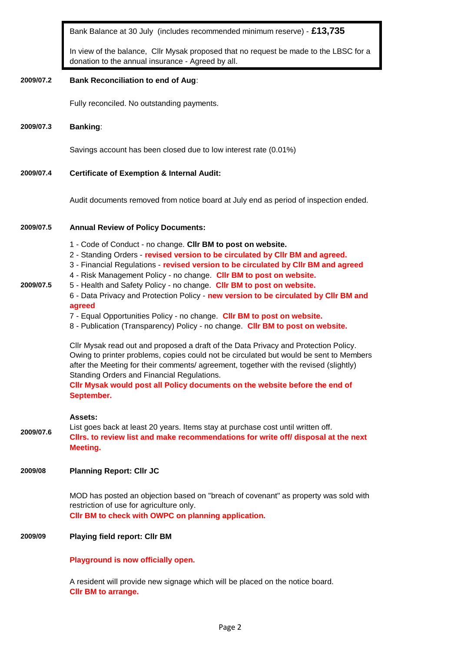Bank Balance at 30 July (includes recommended minimum reserve) - **£13,735**

In view of the balance, Cllr Mysak proposed that no request be made to the LBSC for a donation to the annual insurance - Agreed by all.

#### **2009/07.2 Bank Reconciliation to end of Aug**:

Fully reconciled. No outstanding payments.

#### **2009/07.3 Banking**:

Savings account has been closed due to low interest rate (0.01%)

# **2009/07.4 Certificate of Exemption & Internal Audit:**

Audit documents removed from notice board at July end as period of inspection ended.

#### **2009/07.5 Annual Review of Policy Documents:**

- 1 Code of Conduct no change. **Cllr BM to post on website.**
- 2 Standing Orders **revised version to be circulated by Cllr BM and agreed.**
- 3 Financial Regulations **revised version to be circulated by Cllr BM and agreed**
- 4 Risk Management Policy no change. **Cllr BM to post on website.**
- **2009/07.5** 5 - Health and Safety Policy - no change. **Cllr BM to post on website.** 6 - Data Privacy and Protection Policy - **new version to be circulated by Cllr BM and**

# **agreed**

- 7 Equal Opportunities Policy no change. **Cllr BM to post on website.**
- 8 Publication (Transparency) Policy no change. **Cllr BM to post on website.**

Cllr Mysak read out and proposed a draft of the Data Privacy and Protection Policy. Owing to printer problems, copies could not be circulated but would be sent to Members after the Meeting for their comments/ agreement, together with the revised (slightly) Standing Orders and Financial Regulations. **Cllr Mysak would post all Policy documents on the website before the end of** 

#### **Assets:**

**September.**

**2009/07.6** List goes back at least 20 years. Items stay at purchase cost until written off. **Cllrs. to review list and make recommendations for write off/ disposal at the next Meeting.**

# **2009/08 Planning Report: Cllr JC**

MOD has posted an objection based on "breach of covenant" as property was sold with restriction of use for agriculture only. **Cllr BM to check with OWPC on planning application.**

# **2009/09 Playing field report: Cllr BM**

**Playground is now officially open.**

A resident will provide new signage which will be placed on the notice board. **Cllr BM to arrange.**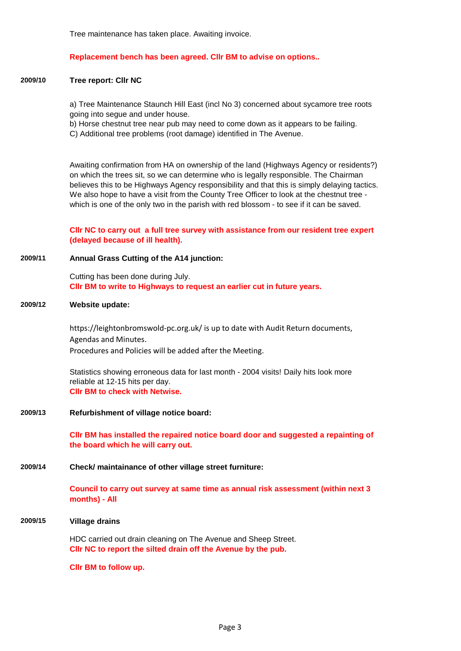Tree maintenance has taken place. Awaiting invoice.

#### **Replacement bench has been agreed. Cllr BM to advise on options..**

#### **2009/10 Tree report: Cllr NC**

a) Tree Maintenance Staunch Hill East (incl No 3) concerned about sycamore tree roots going into segue and under house.

b) Horse chestnut tree near pub may need to come down as it appears to be failing. C) Additional tree problems (root damage) identified in The Avenue.

Awaiting confirmation from HA on ownership of the land (Highways Agency or residents?) on which the trees sit, so we can determine who is legally responsible. The Chairman believes this to be Highways Agency responsibility and that this is simply delaying tactics. We also hope to have a visit from the County Tree Officer to look at the chestnut tree which is one of the only two in the parish with red blossom - to see if it can be saved.

**Cllr NC to carry out a full tree survey with assistance from our resident tree expert (delayed because of ill health).**

**2009/11 Annual Grass Cutting of the A14 junction:**

Cutting has been done during July. **Cllr BM to write to Highways to request an earlier cut in future years.**

#### **2009/12 Website update:**

https://leightonbromswold-pc.org.uk/ is up to date with Audit Return documents, Agendas and Minutes. Procedures and Policies will be added after the Meeting.

Statistics showing erroneous data for last month - 2004 visits! Daily hits look more reliable at 12-15 hits per day. **Cllr BM to check with Netwise.**

**2009/13 Refurbishment of village notice board:** 

**Cllr BM has installed the repaired notice board door and suggested a repainting of the board which he will carry out.**

#### **2009/14 Check/ maintainance of other village street furniture:**

**Council to carry out survey at same time as annual risk assessment (within next 3 months) - All**

#### **2009/15 Village drains**

HDC carried out drain cleaning on The Avenue and Sheep Street. **Cllr NC to report the silted drain off the Avenue by the pub.**

**Cllr BM to follow up.**